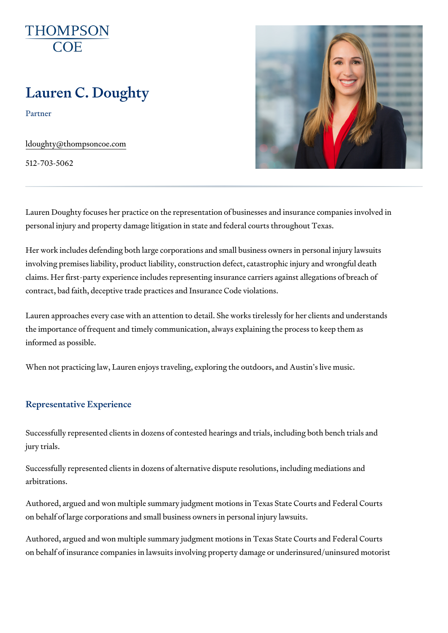# Lauren C. Doughty

Partner

[ldoughty@thompso](mailto:ldoughty@thompsoncoe.com)ncoe.com

512-703-5062

Lauren Doughty focuses her practice on the representation of businesses and insurance companies in  $\overline{a}$ personal injury and property damage litigation in state and federal courts

Her work includes defending both large corporations and small business ov involving premises liability, product liability, construction defect, catastro claims. Her first-party experience includes representing insurance carriers contract, bad faith, deceptive trade practices and Insurance Code violation

Lauren approaches every case with an attention to detail. She works tirele the importance of frequent and timely communication, always explaining th informed as possible.

When not practicing law, Lauren enjoys traveling, exploring the outdoors,

#### Representative Experience

Successfully represented clients in dozens of contested hearings and trial jury trials.

Successfully represented clients in dozens of alternative dispute resolutio arbitrations.

Authored, argued and won multiple summary judgment motions in Texas Sta on behalf of large corporations and small business owners in personal inju

Authored, argued and won multiple summary judgment motions in Texas Sta on behalf of insurance companies in lawsuits involving property damage or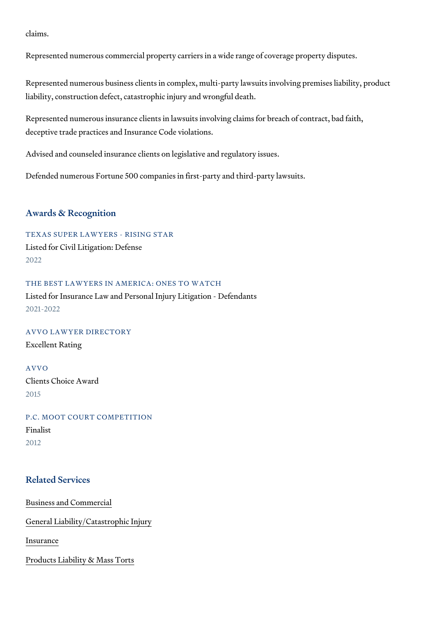claims.

Represented numerous commercial property carriers in a wide range of cov

Represented numerous business clients in complex, multi-party lawsuits in liability, construction defect, catastrophic injury and wrongful death.

Represented numerous insurance clients in lawsuits involving claims for bi deceptive trade practices and Insurance Code violations.

Advised and counseled insurance clients on legislative and regulatory issue

Defended numerous Fortune 500 companies in first-party and third-party la

#### Awards & Recognition

TEXAS SUPER LAWYERS - RISING STAR Listed for Civil Litigation: Defense 2022

THE BEST LAWYERS IN AMERICA: ONES TO WATCH Listed for Insurance Law and Personal Injury Litigation - Defendants 2021-2022

AVVO LAWYER DIRECTORY Excellent Rating

#### AVVO

Clients Choice Award 2015

P.C. MOOT COURT COMPETITION Finalist 2012

# Related Services

[Business and C](https://www.thompsoncoe.com/people/lauren-c-doughty/)ommercial

[General Liability/Catas](https://www.thompsoncoe.com/people/lauren-c-doughty/)trophic Injury

[Insura](https://www.thompsoncoe.com/people/lauren-c-doughty/)nce

[Products Liability &](https://www.thompsoncoe.com/people/lauren-c-doughty/) Mass Torts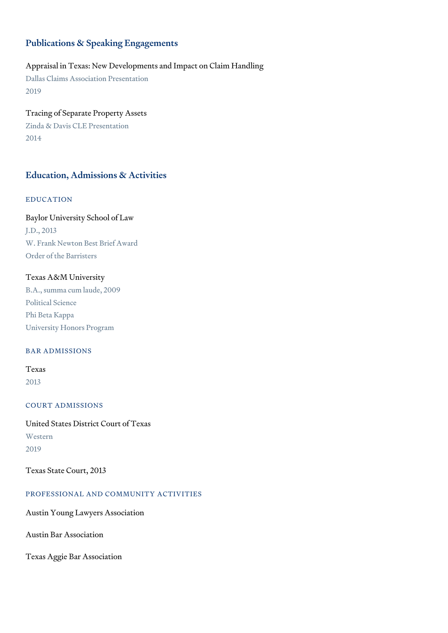# Publications & Speaking Engagements

# Appraisal in Texas: New Developments and Impact on Claim Handling

Dallas Claims Association Presentation 2019

Tracing of Separate Property Assets Zinda & Davis CLE Presentation 2014

# Education, Admissions & Activities

# EDUCATION

Baylor University School of Law J.D., 2013 W. Frank Newton Best Brief Award Order of the Barristers

## Texas A&M University

B.A., summa cum laude, 2009 Political Science Phi Beta Kappa University Honors Program

## BAR ADMISSIONS

Texas 2013

#### COURT ADMISSIONS

United States District Court of Texas Western 2019

Texas State Court, 2013

#### PROFESSIONAL AND COMMUNITY ACTIVITIES

Austin Young Lawyers Association

Austin Bar Association

Texas Aggie Bar Association